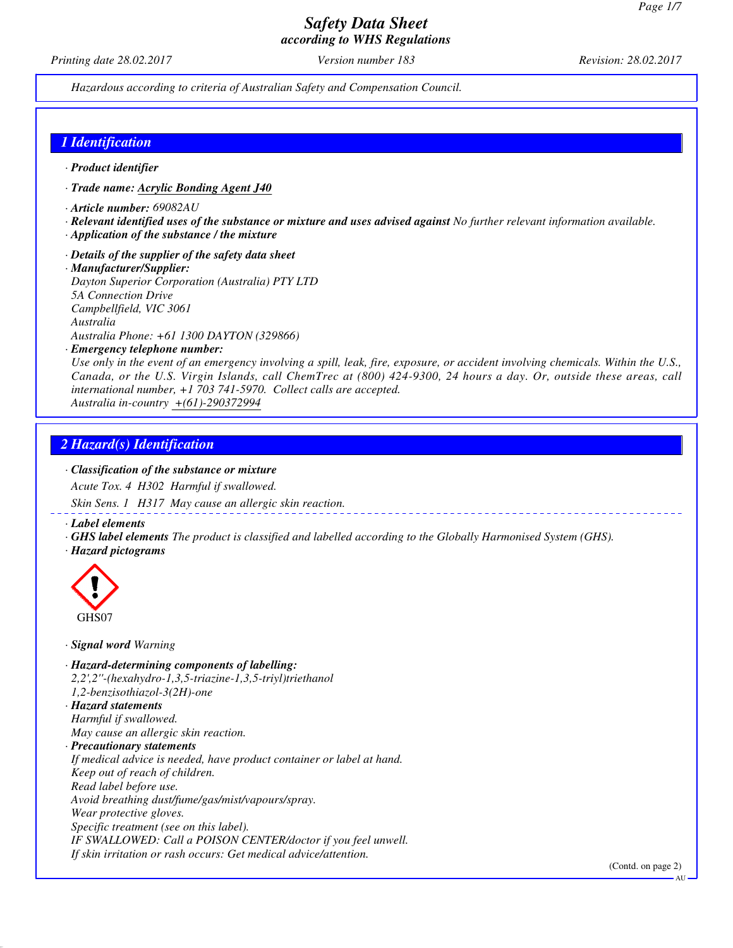*Printing date 28.02.2017 Version number 183 Revision: 28.02.2017*

*Hazardous according to criteria of Australian Safety and Compensation Council.*

## *1 Identification*

- *· Product identifier*
- *· Trade name: Acrylic Bonding Agent J40*
- *· Article number: 69082AU*
- *· Relevant identified uses of the substance or mixture and uses advised against No further relevant information available.*
- *· Application of the substance / the mixture*
- *· Details of the supplier of the safety data sheet*
- *· Manufacturer/Supplier:*

*Dayton Superior Corporation (Australia) PTY LTD 5A Connection Drive Campbellfield, VIC 3061 Australia Australia Phone: +61 1300 DAYTON (329866)*

*· Emergency telephone number:*

*Use only in the event of an emergency involving a spill, leak, fire, exposure, or accident involving chemicals. Within the U.S., Canada, or the U.S. Virgin Islands, call ChemTrec at (800) 424-9300, 24 hours a day. Or, outside these areas, call international number, +1 703 741-5970. Collect calls are accepted.*

*Australia in-country +(61)-290372994*

## *2 Hazard(s) Identification*

#### *· Classification of the substance or mixture*

*Acute Tox. 4 H302 Harmful if swallowed.*

*Skin Sens. 1 H317 May cause an allergic skin reaction.*

*· Label elements*

- *· GHS label elements The product is classified and labelled according to the Globally Harmonised System (GHS).*
- *· Hazard pictograms*



- *· Signal word Warning*
- *· Hazard-determining components of labelling: 2,2',2''-(hexahydro-1,3,5-triazine-1,3,5-triyl)triethanol 1,2-benzisothiazol-3(2H)-one*
- *· Hazard statements Harmful if swallowed. May cause an allergic skin reaction.*
- *· Precautionary statements*

*If medical advice is needed, have product container or label at hand. Keep out of reach of children. Read label before use. Avoid breathing dust/fume/gas/mist/vapours/spray. Wear protective gloves. Specific treatment (see on this label). IF SWALLOWED: Call a POISON CENTER/doctor if you feel unwell.*

*If skin irritation or rash occurs: Get medical advice/attention.*

AU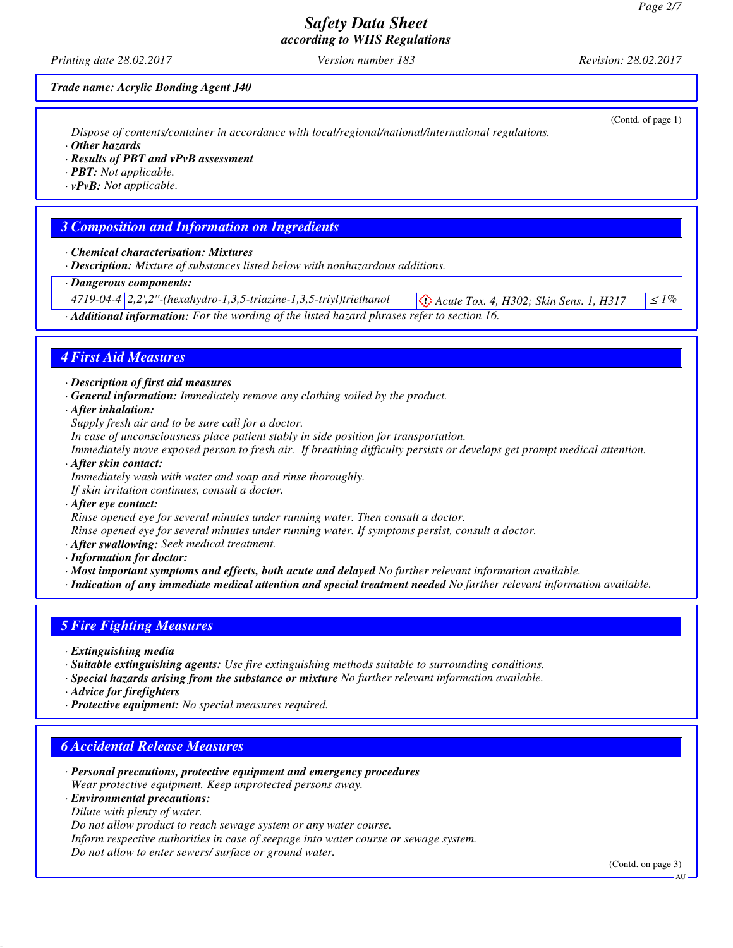*Printing date 28.02.2017 Version number 183 Revision: 28.02.2017*

(Contd. of page 1)

#### *Trade name: Acrylic Bonding Agent J40*

*Dispose of contents/container in accordance with local/regional/national/international regulations.*

*· Other hazards*

*· Results of PBT and vPvB assessment*

*· PBT: Not applicable.*

*· vPvB: Not applicable.*

## *3 Composition and Information on Ingredients*

- *· Chemical characterisation: Mixtures*
- *· Description: Mixture of substances listed below with nonhazardous additions.*

## *· Dangerous components:*

| $4719-04-4$ $2,2',2''$ -(hexahydro-1,3,5-triazine-1,3,5-triyl)triethanol | <sup>1</sup> $\left \bigotimes$ Acute Tox. 4, H302; Skin Sens. 1, H317 $  \leq 1\%  $ |  |
|--------------------------------------------------------------------------|---------------------------------------------------------------------------------------|--|
|                                                                          |                                                                                       |  |

*· Additional information: For the wording of the listed hazard phrases refer to section 16.*

## *4 First Aid Measures*

- *· Description of first aid measures*
- *· General information: Immediately remove any clothing soiled by the product.*
- *· After inhalation:*
- *Supply fresh air and to be sure call for a doctor.*
- *In case of unconsciousness place patient stably in side position for transportation.*

*Immediately move exposed person to fresh air. If breathing difficulty persists or develops get prompt medical attention.*

*· After skin contact:*

*Immediately wash with water and soap and rinse thoroughly.*

*If skin irritation continues, consult a doctor.*

*· After eye contact:*

*Rinse opened eye for several minutes under running water. Then consult a doctor.*

*Rinse opened eye for several minutes under running water. If symptoms persist, consult a doctor.*

- *· After swallowing: Seek medical treatment.*
- *· Information for doctor:*
- *· Most important symptoms and effects, both acute and delayed No further relevant information available.*
- *· Indication of any immediate medical attention and special treatment needed No further relevant information available.*

## *5 Fire Fighting Measures*

- *· Extinguishing media*
- *· Suitable extinguishing agents: Use fire extinguishing methods suitable to surrounding conditions.*
- *· Special hazards arising from the substance or mixture No further relevant information available.*
- *· Advice for firefighters*
- *· Protective equipment: No special measures required.*

## *6 Accidental Release Measures*

- *· Personal precautions, protective equipment and emergency procedures Wear protective equipment. Keep unprotected persons away.*
- *· Environmental precautions:*
- *Dilute with plenty of water.*

*Do not allow product to reach sewage system or any water course.*

*Inform respective authorities in case of seepage into water course or sewage system.*

*Do not allow to enter sewers/ surface or ground water.*

(Contd. on page 3)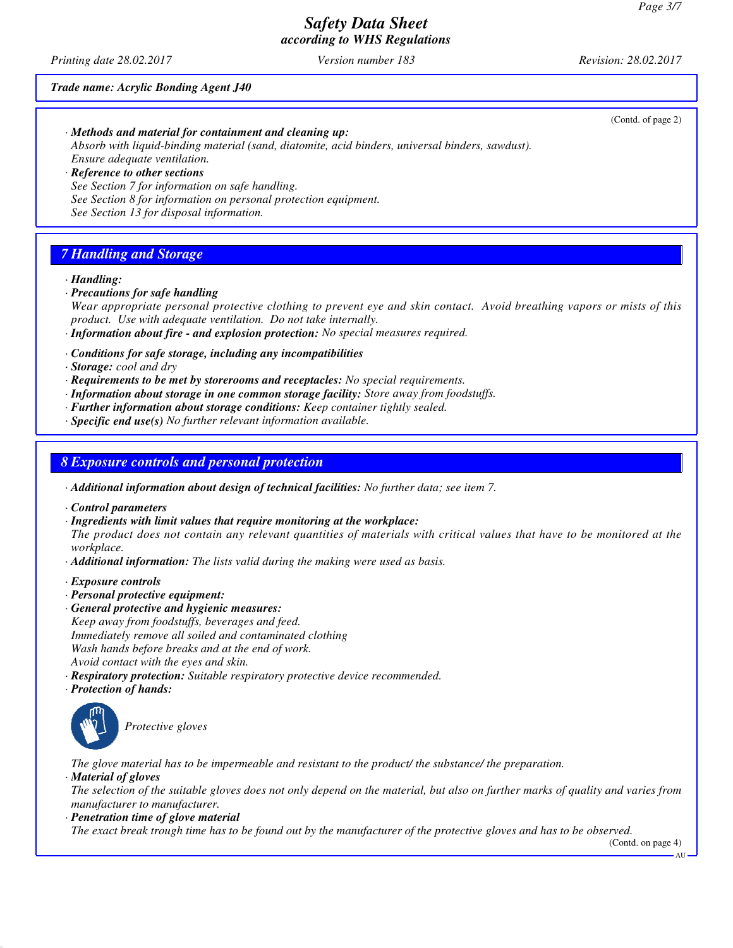*Printing date 28.02.2017 Version number 183 Revision: 28.02.2017*

#### *Trade name: Acrylic Bonding Agent J40*

|                                                                                                  | (Contd. of page 2) |
|--------------------------------------------------------------------------------------------------|--------------------|
| $\cdot$ Methods and material for containment and cleaning up:                                    |                    |
| Absorb with liquid-binding material (sand, diatomite, acid binders, universal binders, sawdust). |                    |
| Ensure adequate ventilation.                                                                     |                    |
| $\cdot$ Reference to other sections                                                              |                    |
| See Section 7 for information on safe handling.                                                  |                    |
| See Section 8 for information on personal protection equipment.                                  |                    |
| See Section 13 for disposal information.                                                         |                    |
|                                                                                                  |                    |

## *7 Handling and Storage*

#### *· Handling:*

- *· Precautions for safe handling Wear appropriate personal protective clothing to prevent eye and skin contact. Avoid breathing vapors or mists of this product. Use with adequate ventilation. Do not take internally.*
- *· Information about fire and explosion protection: No special measures required.*
- *· Conditions for safe storage, including any incompatibilities*

*· Storage: cool and dry*

- *· Requirements to be met by storerooms and receptacles: No special requirements.*
- *· Information about storage in one common storage facility: Store away from foodstuffs.*
- *· Further information about storage conditions: Keep container tightly sealed.*
- *· Specific end use(s) No further relevant information available.*

## *8 Exposure controls and personal protection*

- *· Additional information about design of technical facilities: No further data; see item 7.*
- *· Control parameters*
- *· Ingredients with limit values that require monitoring at the workplace:*

*The product does not contain any relevant quantities of materials with critical values that have to be monitored at the workplace.*

- *· Additional information: The lists valid during the making were used as basis.*
- *· Exposure controls*
- *· Personal protective equipment:*
- *· General protective and hygienic measures: Keep away from foodstuffs, beverages and feed. Immediately remove all soiled and contaminated clothing Wash hands before breaks and at the end of work. Avoid contact with the eyes and skin.*
- *· Respiratory protection: Suitable respiratory protective device recommended.*
- *· Protection of hands:*



*The glove material has to be impermeable and resistant to the product/ the substance/ the preparation.*

*· Material of gloves*

*The selection of the suitable gloves does not only depend on the material, but also on further marks of quality and varies from manufacturer to manufacturer.*

*· Penetration time of glove material*

*The exact break trough time has to be found out by the manufacturer of the protective gloves and has to be observed.*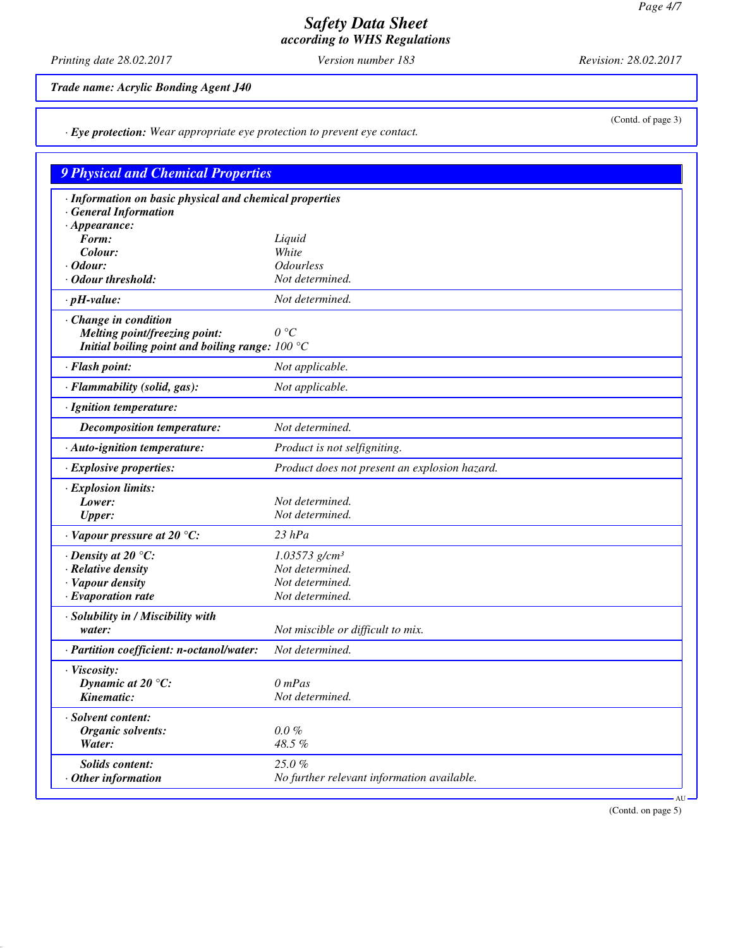*Printing date 28.02.2017 Version number 183 Revision: 28.02.2017*

(Contd. of page 3)

*Trade name: Acrylic Bonding Agent J40*

*· Eye protection: Wear appropriate eye protection to prevent eye contact.*

# *9 Physical and Chemical Properties · Information on basic physical and chemical properties · General Information · Appearance:*<br>*Form: Form: Liquid Colour: White · Odour: Odourless · Odour threshold: Not determined. · pH-value: Not determined. · Change in condition Melting point/freezing point: 0 °C Initial boiling point and boiling range: 100 °C · Flash point: Not applicable. · Flammability (solid, gas): Not applicable. · Ignition temperature: Decomposition temperature: Not determined. · Auto-ignition temperature: Product is not selfigniting. · Explosive properties: Product does not present an explosion hazard. · Explosion limits: Lower: Not determined. Upper: Not determined. · Vapour pressure at 20 °C: 23 hPa · Density at 20 °C: 1.03573 g/cm³ · Relative density Not determined. · Vapour density Not determined. · Evaporation rate Not determined. · Solubility in / Miscibility with water: Not miscible or difficult to mix. · Partition coefficient: n-octanol/water: Not determined. · Viscosity: Dynamic at 20 °C: 0 mPas Kinematic: Not determined. · Solvent content: Organic solvents: 0.0 % Water: 48.5 %* **Solids content:** 25.0 %<br> **Other information** No furt *· Other information No further relevant information available.* AU

(Contd. on page 5)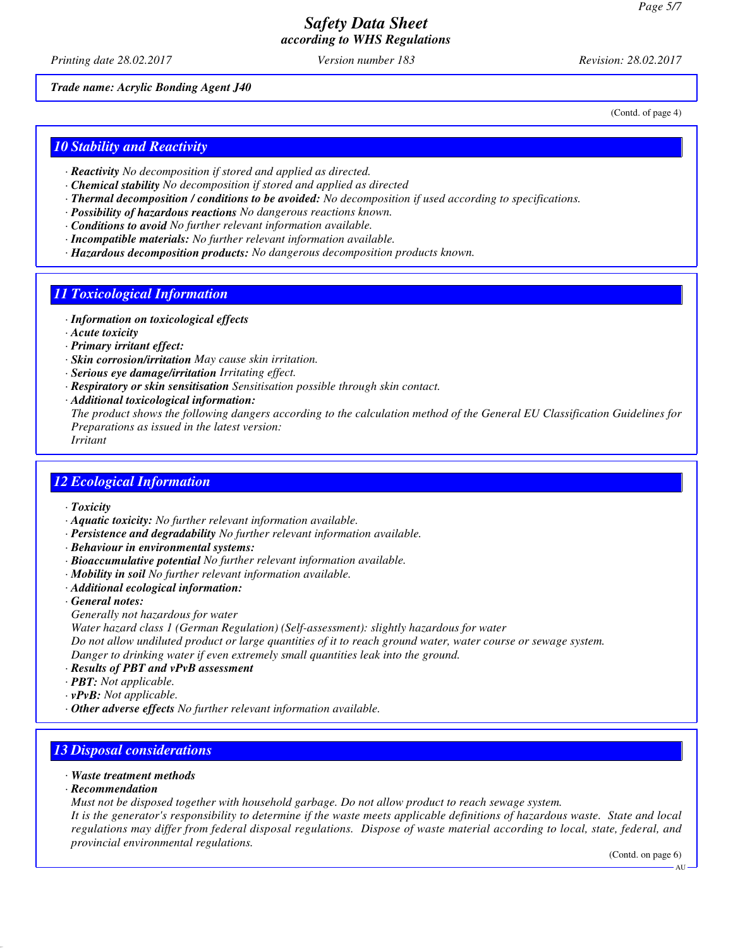*Printing date 28.02.2017 Version number 183 Revision: 28.02.2017*

(Contd. of page 4)

*Trade name: Acrylic Bonding Agent J40*

*10 Stability and Reactivity*

- *· Reactivity No decomposition if stored and applied as directed.*
- *· Chemical stability No decomposition if stored and applied as directed*
- *· Thermal decomposition / conditions to be avoided: No decomposition if used according to specifications.*
- *· Possibility of hazardous reactions No dangerous reactions known.*
- *· Conditions to avoid No further relevant information available.*
- *· Incompatible materials: No further relevant information available.*
- *· Hazardous decomposition products: No dangerous decomposition products known.*

## *11 Toxicological Information*

- *· Information on toxicological effects*
- *· Acute toxicity*
- *· Primary irritant effect:*
- *· Skin corrosion/irritation May cause skin irritation.*
- *· Serious eye damage/irritation Irritating effect.*
- *· Respiratory or skin sensitisation Sensitisation possible through skin contact.*
- *· Additional toxicological information:*

*The product shows the following dangers according to the calculation method of the General EU Classification Guidelines for Preparations as issued in the latest version:*

*Irritant*

## *12 Ecological Information*

- *· Toxicity*
- *· Aquatic toxicity: No further relevant information available.*
- *· Persistence and degradability No further relevant information available.*
- *· Behaviour in environmental systems:*
- *· Bioaccumulative potential No further relevant information available.*
- *· Mobility in soil No further relevant information available.*
- *· Additional ecological information:*
- *· General notes:*
- *Generally not hazardous for water*
- *Water hazard class 1 (German Regulation) (Self-assessment): slightly hazardous for water*

*Do not allow undiluted product or large quantities of it to reach ground water, water course or sewage system. Danger to drinking water if even extremely small quantities leak into the ground.*

- *· Results of PBT and vPvB assessment*
- *· PBT: Not applicable.*
- *· vPvB: Not applicable.*
- *· Other adverse effects No further relevant information available.*

## *13 Disposal considerations*

- *· Waste treatment methods*
- *· Recommendation*
- *Must not be disposed together with household garbage. Do not allow product to reach sewage system.*

*It is the generator's responsibility to determine if the waste meets applicable definitions of hazardous waste. State and local regulations may differ from federal disposal regulations. Dispose of waste material according to local, state, federal, and provincial environmental regulations.*

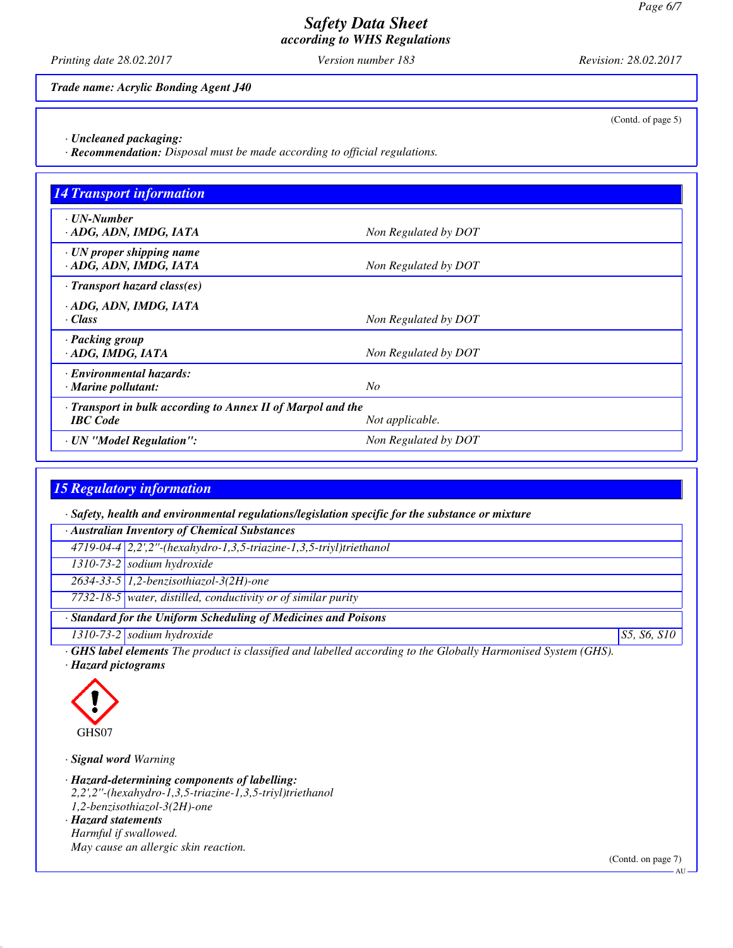*Printing date 28.02.2017 Version number 183 Revision: 28.02.2017*

*Trade name: Acrylic Bonding Agent J40*

(Contd. of page 5)

*· Uncleaned packaging:*

*· Recommendation: Disposal must be made according to official regulations.*

| <b>14 Transport information</b>                                                                   |                      |  |
|---------------------------------------------------------------------------------------------------|----------------------|--|
| . UN-Number<br>· ADG, ADN, IMDG, IATA                                                             | Non Regulated by DOT |  |
| $\cdot$ UN proper shipping name<br>· ADG, ADN, IMDG, IATA                                         | Non Regulated by DOT |  |
| $\cdot$ Transport hazard class(es)                                                                |                      |  |
| · ADG, ADN, IMDG, IATA<br>· Class                                                                 | Non Regulated by DOT |  |
| · Packing group<br>· ADG, IMDG, IATA                                                              | Non Regulated by DOT |  |
| · Environmental hazards:<br>$\cdot$ Marine pollutant:                                             | N <sub>O</sub>       |  |
| · Transport in bulk according to Annex II of Marpol and the<br><b>IBC</b> Code<br>Not applicable. |                      |  |
| · UN "Model Regulation":                                                                          | Non Regulated by DOT |  |

## *15 Regulatory information*

*· Safety, health and environmental regulations/legislation specific for the substance or mixture*

*· Australian Inventory of Chemical Substances 4719-04-4 2,2',2''-(hexahydro-1,3,5-triazine-1,3,5-triyl)triethanol*

*1310-73-2 sodium hydroxide*

*2634-33-5 1,2-benzisothiazol-3(2H)-one*

*7732-18-5 water, distilled, conductivity or of similar purity*

*· Standard for the Uniform Scheduling of Medicines and Poisons*

*1310-73-2 sodium hydroxide S5, S6, S10*

*· GHS label elements The product is classified and labelled according to the Globally Harmonised System (GHS).*

*· Hazard pictograms*



*· Signal word Warning*

*· Hazard-determining components of labelling:*

*2,2',2''-(hexahydro-1,3,5-triazine-1,3,5-triyl)triethanol*

*1,2-benzisothiazol-3(2H)-one · Hazard statements*

*Harmful if swallowed.*

*May cause an allergic skin reaction.*

(Contd. on page 7)

AU